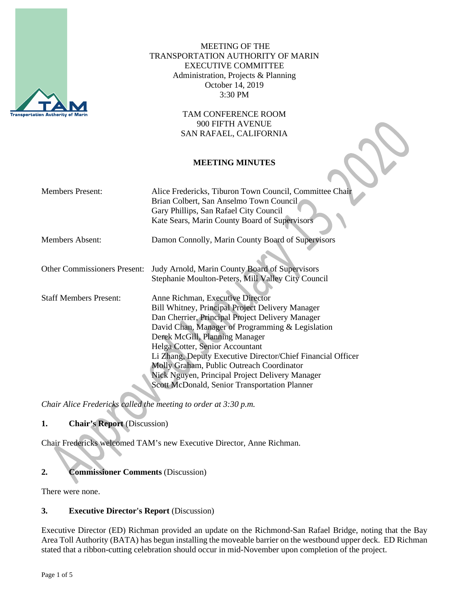

MEETING OF THE TRANSPORTATION AUTHORITY OF MARIN EXECUTIVE COMMITTEE Administration, Projects & Planning October 14, 2019 3:30 PM

> TAM CONFERENCE ROOM 900 FIFTH AVENUE SAN RAFAEL, CALIFORNIA

## **MEETING MINUTES**

| <b>Members Present:</b>             | Alice Fredericks, Tiburon Town Council, Committee Chair<br>Brian Colbert, San Anselmo Town Council<br>Gary Phillips, San Rafael City Council<br>Kate Sears, Marin County Board of Supervisors                                                                                                                                                                                                                                                                                                   |
|-------------------------------------|-------------------------------------------------------------------------------------------------------------------------------------------------------------------------------------------------------------------------------------------------------------------------------------------------------------------------------------------------------------------------------------------------------------------------------------------------------------------------------------------------|
| Members Absent:                     | Damon Connolly, Marin County Board of Supervisors                                                                                                                                                                                                                                                                                                                                                                                                                                               |
| <b>Other Commissioners Present:</b> | Judy Arnold, Marin County Board of Supervisors<br>Stephanie Moulton-Peters, Mill Valley City Council                                                                                                                                                                                                                                                                                                                                                                                            |
| <b>Staff Members Present:</b>       | Anne Richman, Executive Director<br><b>Bill Whitney, Principal Project Delivery Manager</b><br>Dan Cherrier, Principal Project Delivery Manager<br>David Chan, Manager of Programming & Legislation<br>Derek McGill, Planning Manager<br>Helga Cotter, Senior Accountant<br>Li Zhang, Deputy Executive Director/Chief Financial Officer<br>Molly Graham, Public Outreach Coordinator<br>Nick Nguyen, Principal Project Delivery Manager<br><b>Scott McDonald, Senior Transportation Planner</b> |

*Chair Alice Fredericks called the meeting to order at 3:30 p.m.*

# **1. Chair's Report** (Discussion)

Chair Fredericks welcomed TAM's new Executive Director, Anne Richman.

# **2. Commissioner Comments** (Discussion)

There were none.

#### **3. Executive Director's Report** (Discussion)

Executive Director (ED) Richman provided an update on the Richmond-San Rafael Bridge, noting that the Bay Area Toll Authority (BATA) has begun installing the moveable barrier on the westbound upper deck. ED Richman stated that a ribbon-cutting celebration should occur in mid-November upon completion of the project.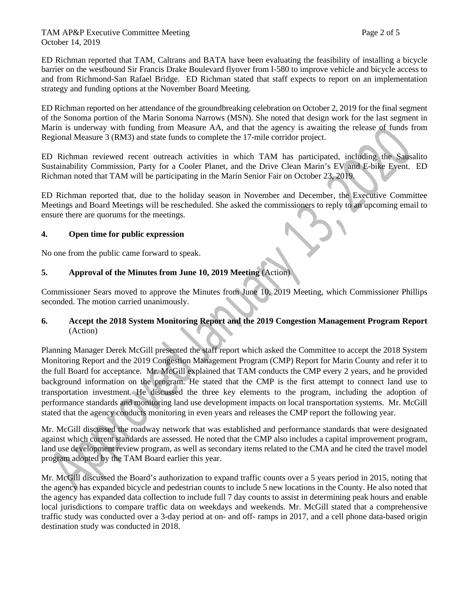#### TAM AP&P Executive Committee Meeting Page 2 of 5 October 14, 2019

ED Richman reported that TAM, Caltrans and BATA have been evaluating the feasibility of installing a bicycle barrier on the westbound Sir Francis Drake Boulevard flyover from I-580 to improve vehicle and bicycle access to and from Richmond-San Rafael Bridge. ED Richman stated that staff expects to report on an implementation strategy and funding options at the November Board Meeting.

ED Richman reported on her attendance of the groundbreaking celebration on October 2, 2019 for the final segment of the Sonoma portion of the Marin Sonoma Narrows (MSN). She noted that design work for the last segment in Marin is underway with funding from Measure AA, and that the agency is awaiting the release of funds from Regional Measure 3 (RM3) and state funds to complete the 17-mile corridor project.

ED Richman reviewed recent outreach activities in which TAM has participated, including the Sausalito Sustainability Commission, Party for a Cooler Planet, and the Drive Clean Marin's EV and E-bike Event. ED Richman noted that TAM will be participating in the Marin Senior Fair on October 23, 2019.

ED Richman reported that, due to the holiday season in November and December, the Executive Committee Meetings and Board Meetings will be rescheduled. She asked the commissioners to reply to an upcoming email to ensure there are quorums for the meetings.

## **4. Open time for public expression**

No one from the public came forward to speak.

## **5. Approval of the Minutes from June 10, 2019 Meeting** (Action)

Commissioner Sears moved to approve the Minutes from June 10, 2019 Meeting, which Commissioner Phillips seconded. The motion carried unanimously.

# **6. Accept the 2018 System Monitoring Report and the 2019 Congestion Management Program Report**  (Action)

Planning Manager Derek McGill presented the staff report which asked the Committee to accept the 2018 System Monitoring Report and the 2019 Congestion Management Program (CMP) Report for Marin County and refer it to the full Board for acceptance. Mr. McGill explained that TAM conducts the CMP every 2 years, and he provided background information on the program. He stated that the CMP is the first attempt to connect land use to transportation investment. He discussed the three key elements to the program, including the adoption of performance standards and monitoring land use development impacts on local transportation systems. Mr. McGill stated that the agency conducts monitoring in even years and releases the CMP report the following year.

Mr. McGill discussed the roadway network that was established and performance standards that were designated against which current standards are assessed. He noted that the CMP also includes a capital improvement program, land use development review program, as well as secondary items related to the CMA and he cited the travel model program adopted by the TAM Board earlier this year.

Mr. McGill discussed the Board's authorization to expand traffic counts over a 5 years period in 2015, noting that the agency has expanded bicycle and pedestrian counts to include 5 new locations in the County. He also noted that the agency has expanded data collection to include full 7 day counts to assist in determining peak hours and enable local jurisdictions to compare traffic data on weekdays and weekends. Mr. McGill stated that a comprehensive traffic study was conducted over a 3-day period at on- and off- ramps in 2017, and a cell phone data-based origin destination study was conducted in 2018.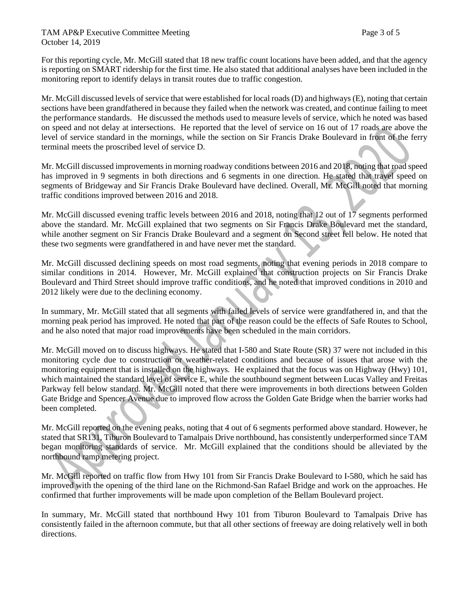For this reporting cycle, Mr. McGill stated that 18 new traffic count locations have been added, and that the agency is reporting on SMART ridership for the first time. He also stated that additional analyses have been included in the monitoring report to identify delays in transit routes due to traffic congestion.

Mr. McGill discussed levels of service that were established for local roads (D) and highways (E), noting that certain sections have been grandfathered in because they failed when the network was created, and continue failing to meet the performance standards. He discussed the methods used to measure levels of service, which he noted was based on speed and not delay at intersections. He reported that the level of service on 16 out of 17 roads are above the level of service standard in the mornings, while the section on Sir Francis Drake Boulevard in front of the ferry terminal meets the proscribed level of service D.

Mr. McGill discussed improvements in morning roadway conditions between 2016 and 2018, noting that road speed has improved in 9 segments in both directions and 6 segments in one direction. He stated that travel speed on segments of Bridgeway and Sir Francis Drake Boulevard have declined. Overall, Mr. McGill noted that morning traffic conditions improved between 2016 and 2018.

Mr. McGill discussed evening traffic levels between 2016 and 2018, noting that 12 out of 17 segments performed above the standard. Mr. McGill explained that two segments on Sir Francis Drake Boulevard met the standard, while another segment on Sir Francis Drake Boulevard and a segment on Second street fell below. He noted that these two segments were grandfathered in and have never met the standard.

Mr. McGill discussed declining speeds on most road segments, noting that evening periods in 2018 compare to similar conditions in 2014. However, Mr. McGill explained that construction projects on Sir Francis Drake Boulevard and Third Street should improve traffic conditions, and he noted that improved conditions in 2010 and 2012 likely were due to the declining economy.

In summary, Mr. McGill stated that all segments with failed levels of service were grandfathered in, and that the morning peak period has improved. He noted that part of the reason could be the effects of Safe Routes to School, and he also noted that major road improvements have been scheduled in the main corridors.

Mr. McGill moved on to discuss highways. He stated that I-580 and State Route (SR) 37 were not included in this monitoring cycle due to construction or weather-related conditions and because of issues that arose with the monitoring equipment that is installed on the highways. He explained that the focus was on Highway (Hwy) 101, which maintained the standard level of service E, while the southbound segment between Lucas Valley and Freitas Parkway fell below standard. Mr. McGill noted that there were improvements in both directions between Golden Gate Bridge and Spencer Avenue due to improved flow across the Golden Gate Bridge when the barrier works had been completed.

Mr. McGill reported on the evening peaks, noting that 4 out of 6 segments performed above standard. However, he stated that SR131, Tiburon Boulevard to Tamalpais Drive northbound, has consistently underperformed since TAM began monitoring standards of service. Mr. McGill explained that the conditions should be alleviated by the northbound ramp metering project.

Mr. McGill reported on traffic flow from Hwy 101 from Sir Francis Drake Boulevard to I-580, which he said has improved with the opening of the third lane on the Richmond-San Rafael Bridge and work on the approaches. He confirmed that further improvements will be made upon completion of the Bellam Boulevard project.

In summary, Mr. McGill stated that northbound Hwy 101 from Tiburon Boulevard to Tamalpais Drive has consistently failed in the afternoon commute, but that all other sections of freeway are doing relatively well in both directions.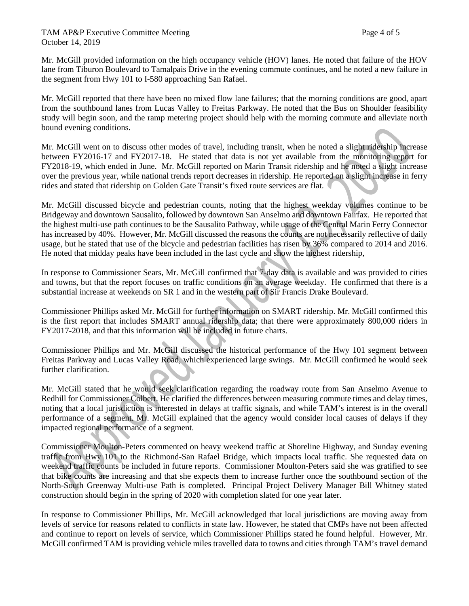#### TAM AP&P Executive Committee Meeting TAM AP&P Executive Committee Meeting October 14, 2019

Mr. McGill provided information on the high occupancy vehicle (HOV) lanes. He noted that failure of the HOV lane from Tiburon Boulevard to Tamalpais Drive in the evening commute continues, and he noted a new failure in the segment from Hwy 101 to I-580 approaching San Rafael.

Mr. McGill reported that there have been no mixed flow lane failures; that the morning conditions are good, apart from the southbound lanes from Lucas Valley to Freitas Parkway. He noted that the Bus on Shoulder feasibility study will begin soon, and the ramp metering project should help with the morning commute and alleviate north bound evening conditions.

Mr. McGill went on to discuss other modes of travel, including transit, when he noted a slight ridership increase between FY2016-17 and FY2017-18. He stated that data is not yet available from the monitoring report for FY2018-19, which ended in June. Mr. McGill reported on Marin Transit ridership and he noted a slight increase over the previous year, while national trends report decreases in ridership. He reported on a slight increase in ferry rides and stated that ridership on Golden Gate Transit's fixed route services are flat.

Mr. McGill discussed bicycle and pedestrian counts, noting that the highest weekday volumes continue to be Bridgeway and downtown Sausalito, followed by downtown San Anselmo and downtown Fairfax. He reported that the highest multi-use path continues to be the Sausalito Pathway, while usage of the Central Marin Ferry Connector has increased by 40%. However, Mr. McGill discussed the reasons the counts are not necessarily reflective of daily usage, but he stated that use of the bicycle and pedestrian facilities has risen by 36% compared to 2014 and 2016. He noted that midday peaks have been included in the last cycle and show the highest ridership,

In response to Commissioner Sears, Mr. McGill confirmed that 7-day data is available and was provided to cities and towns, but that the report focuses on traffic conditions on an average weekday. He confirmed that there is a substantial increase at weekends on SR 1 and in the western part of Sir Francis Drake Boulevard.

Commissioner Phillips asked Mr. McGill for further information on SMART ridership. Mr. McGill confirmed this is the first report that includes SMART annual ridership data; that there were approximately 800,000 riders in FY2017-2018, and that this information will be included in future charts.

Commissioner Phillips and Mr. McGill discussed the historical performance of the Hwy 101 segment between Freitas Parkway and Lucas Valley Road, which experienced large swings. Mr. McGill confirmed he would seek further clarification.

Mr. McGill stated that he would seek clarification regarding the roadway route from San Anselmo Avenue to Redhill for Commissioner Colbert. He clarified the differences between measuring commute times and delay times, noting that a local jurisdiction is interested in delays at traffic signals, and while TAM's interest is in the overall performance of a segment. Mr. McGill explained that the agency would consider local causes of delays if they impacted regional performance of a segment.

Commissioner Moulton-Peters commented on heavy weekend traffic at Shoreline Highway, and Sunday evening traffic from Hwy 101 to the Richmond-San Rafael Bridge, which impacts local traffic. She requested data on weekend traffic counts be included in future reports. Commissioner Moulton-Peters said she was gratified to see that bike counts are increasing and that she expects them to increase further once the southbound section of the North-South Greenway Multi-use Path is completed. Principal Project Delivery Manager Bill Whitney stated construction should begin in the spring of 2020 with completion slated for one year later.

In response to Commissioner Phillips, Mr. McGill acknowledged that local jurisdictions are moving away from levels of service for reasons related to conflicts in state law. However, he stated that CMPs have not been affected and continue to report on levels of service, which Commissioner Phillips stated he found helpful. However, Mr. McGill confirmed TAM is providing vehicle miles travelled data to towns and cities through TAM's travel demand